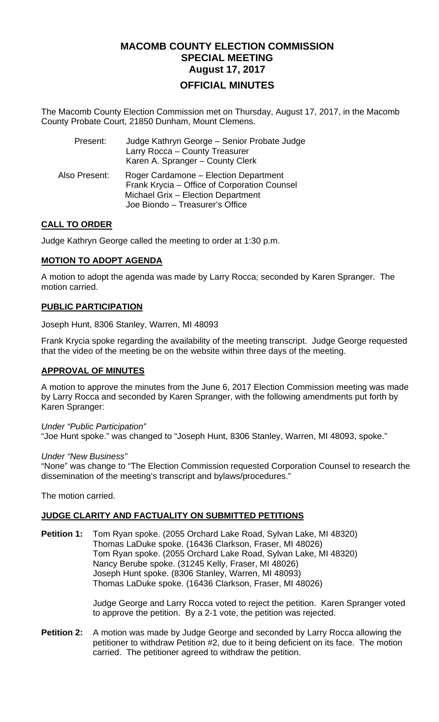# **MACOMB COUNTY ELECTION COMMISSION SPECIAL MEETING August 17, 2017 OFFICIAL MINUTES**

The Macomb County Election Commission met on Thursday, August 17, 2017, in the Macomb County Probate Court, 21850 Dunham, Mount Clemens.

| Present:      | Judge Kathryn George - Senior Probate Judge<br>Larry Rocca - County Treasurer<br>Karen A. Spranger - County Clerk                                              |
|---------------|----------------------------------------------------------------------------------------------------------------------------------------------------------------|
| Also Present: | Roger Cardamone – Election Department<br>Frank Krycia – Office of Corporation Counsel<br>Michael Grix - Election Department<br>Joe Biondo - Treasurer's Office |

# **CALL TO ORDER**

Judge Kathryn George called the meeting to order at 1:30 p.m.

# **MOTION TO ADOPT AGENDA**

A motion to adopt the agenda was made by Larry Rocca; seconded by Karen Spranger. The motion carried.

# **PUBLIC PARTICIPATION**

Joseph Hunt, 8306 Stanley, Warren, MI 48093

Frank Krycia spoke regarding the availability of the meeting transcript. Judge George requested that the video of the meeting be on the website within three days of the meeting.

# **APPROVAL OF MINUTES**

A motion to approve the minutes from the June 6, 2017 Election Commission meeting was made by Larry Rocca and seconded by Karen Spranger, with the following amendments put forth by Karen Spranger:

#### *Under "Public Participation"*

"Joe Hunt spoke." was changed to "Joseph Hunt, 8306 Stanley, Warren, MI 48093, spoke."

#### *Under "New Business"*

"None" was change to "The Election Commission requested Corporation Counsel to research the dissemination of the meeting's transcript and bylaws/procedures."

The motion carried.

# **JUDGE CLARITY AND FACTUALITY ON SUBMITTED PETITIONS**

**Petition 1:** Tom Ryan spoke. (2055 Orchard Lake Road, Sylvan Lake, MI 48320) Thomas LaDuke spoke. (16436 Clarkson, Fraser, MI 48026) Tom Ryan spoke. (2055 Orchard Lake Road, Sylvan Lake, MI 48320) Nancy Berube spoke. (31245 Kelly, Fraser, MI 48026) Joseph Hunt spoke. (8306 Stanley, Warren, MI 48093) Thomas LaDuke spoke. (16436 Clarkson, Fraser, MI 48026)

> Judge George and Larry Rocca voted to reject the petition. Karen Spranger voted to approve the petition. By a 2-1 vote, the petition was rejected.

**Petition 2:** A motion was made by Judge George and seconded by Larry Rocca allowing the petitioner to withdraw Petition #2, due to it being deficient on its face. The motion carried. The petitioner agreed to withdraw the petition.